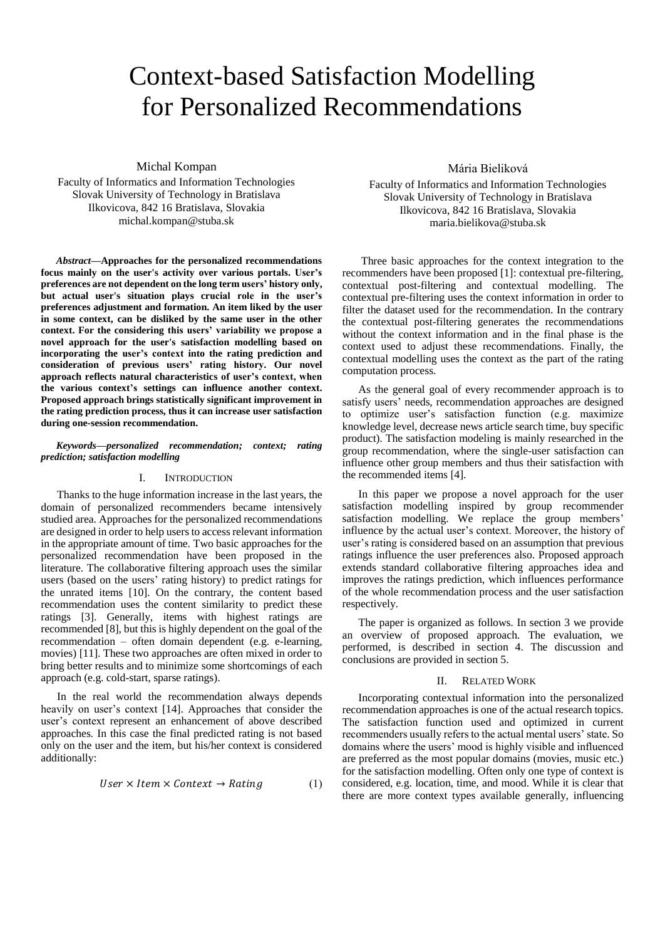# Context-based Satisfaction Modelling for Personalized Recommendations

Michal Kompan

Faculty of Informatics and Information Technologies Slovak University of Technology in Bratislava Ilkovicova, 842 16 Bratislava, Slovakia michal.kompan@stuba.sk

*Abstract***—Approaches for the personalized recommendations focus mainly on the user's activity over various portals. User's preferences are not dependent on the long term users' history only, but actual user's situation plays crucial role in the user's preferences adjustment and formation. An item liked by the user in some context, can be disliked by the same user in the other context. For the considering this users' variability we propose a novel approach for the user's satisfaction modelling based on incorporating the user's context into the rating prediction and consideration of previous users' rating history. Our novel approach reflects natural characteristics of user's context, when the various context's settings can influence another context. Proposed approach brings statistically significant improvement in the rating prediction process, thus it can increase user satisfaction during one-session recommendation.**

## *Keywords—personalized recommendation; context; rating prediction; satisfaction modelling*

## I. INTRODUCTION

Thanks to the huge information increase in the last years, the domain of personalized recommenders became intensively studied area. Approaches for the personalized recommendations are designed in order to help users to access relevant information in the appropriate amount of time. Two basic approaches for the personalized recommendation have been proposed in the literature. The collaborative filtering approach uses the similar users (based on the users' rating history) to predict ratings for the unrated items [10]. On the contrary, the content based recommendation uses the content similarity to predict these ratings [3]. Generally, items with highest ratings are recommended [8], but this is highly dependent on the goal of the recommendation – often domain dependent (e.g. e-learning, movies) [11]. These two approaches are often mixed in order to bring better results and to minimize some shortcomings of each approach (e.g. cold-start, sparse ratings).

In the real world the recommendation always depends heavily on user's context [\[14\].](#page-5-0) Approaches that consider the user's context represent an enhancement of above described approaches. In this case the final predicted rating is not based only on the user and the item, but his/her context is considered additionally:

*User* × *Item* × *Context* 
$$
\rightarrow
$$
 *Rating* (1)

Mária Bieliková

Faculty of Informatics and Information Technologies Slovak University of Technology in Bratislava Ilkovicova, 842 16 Bratislava, Slovakia maria.bielikova@stuba.sk

Three basic approaches for the context integration to the recommenders have been proposed [1]: contextual pre-filtering, contextual post-filtering and contextual modelling. The contextual pre-filtering uses the context information in order to filter the dataset used for the recommendation. In the contrary the contextual post-filtering generates the recommendations without the context information and in the final phase is the context used to adjust these recommendations. Finally, the contextual modelling uses the context as the part of the rating computation process.

As the general goal of every recommender approach is to satisfy users' needs, recommendation approaches are designed to optimize user's satisfaction function (e.g. maximize knowledge level, decrease news article search time, buy specific product). The satisfaction modeling is mainly researched in the group recommendation, where the single-user satisfaction can influence other group members and thus their satisfaction with the recommended items [\[4\].](#page-4-0)

In this paper we propose a novel approach for the user satisfaction modelling inspired by group recommender satisfaction modelling. We replace the group members' influence by the actual user's context. Moreover, the history of user's rating is considered based on an assumption that previous ratings influence the user preferences also. Proposed approach extends standard collaborative filtering approaches idea and improves the ratings prediction, which influences performance of the whole recommendation process and the user satisfaction respectively.

The paper is organized as follows. In section 3 we provide an overview of proposed approach. The evaluation, we performed, is described in section 4. The discussion and conclusions are provided in section 5.

# II. RELATED WORK

Incorporating contextual information into the personalized recommendation approaches is one of the actual research topics. The satisfaction function used and optimized in current recommenders usually refers to the actual mental users' state. So domains where the users' mood is highly visible and influenced are preferred as the most popular domains (movies, music etc.) for the satisfaction modelling. Often only one type of context is considered, e.g. location, time, and mood. While it is clear that there are more context types available generally, influencing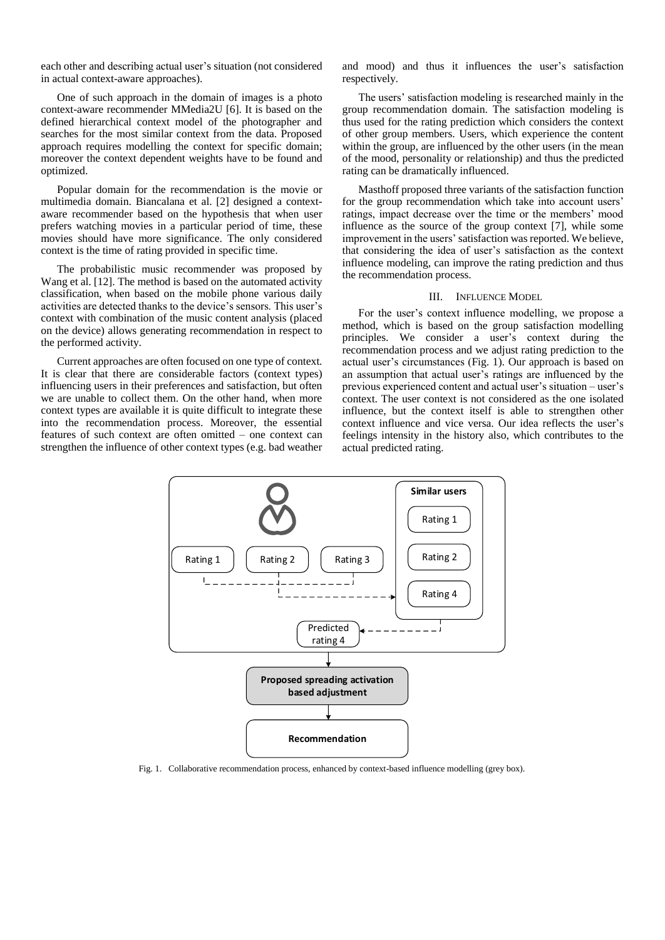each other and describing actual user's situation (not considered in actual context-aware approaches).

One of such approach in the domain of images is a photo context-aware recommender MMedia2U [6]. It is based on the defined hierarchical context model of the photographer and searches for the most similar context from the data. Proposed approach requires modelling the context for specific domain; moreover the context dependent weights have to be found and optimized.

Popular domain for the recommendation is the movie or multimedia domain. Biancalana et al. [2] designed a contextaware recommender based on the hypothesis that when user prefers watching movies in a particular period of time, these movies should have more significance. The only considered context is the time of rating provided in specific time.

The probabilistic music recommender was proposed by Wang et al. [12]. The method is based on the automated activity classification, when based on the mobile phone various daily activities are detected thanks to the device's sensors. This user's context with combination of the music content analysis (placed on the device) allows generating recommendation in respect to the performed activity.

Current approaches are often focused on one type of context. It is clear that there are considerable factors (context types) influencing users in their preferences and satisfaction, but often we are unable to collect them. On the other hand, when more context types are available it is quite difficult to integrate these into the recommendation process. Moreover, the essential features of such context are often omitted – one context can strengthen the influence of other context types (e.g. bad weather

and mood) and thus it influences the user's satisfaction respectively.

The users' satisfaction modeling is researched mainly in the group recommendation domain. The satisfaction modeling is thus used for the rating prediction which considers the context of other group members. Users, which experience the content within the group, are influenced by the other users (in the mean of the mood, personality or relationship) and thus the predicted rating can be dramatically influenced.

Masthoff proposed three variants of the satisfaction function for the group recommendation which take into account users' ratings, impact decrease over the time or the members' mood influence as the source of the group context [7], while some improvement in the users'satisfaction was reported. We believe, that considering the idea of user's satisfaction as the context influence modeling, can improve the rating prediction and thus the recommendation process.

#### III. INFLUENCE MODEL

For the user's context influence modelling, we propose a method, which is based on the group satisfaction modelling principles. We consider a user's context during the recommendation process and we adjust rating prediction to the actual user's circumstances (Fig. 1). Our approach is based on an assumption that actual user's ratings are influenced by the previous experienced content and actual user's situation – user's context. The user context is not considered as the one isolated influence, but the context itself is able to strengthen other context influence and vice versa. Our idea reflects the user's feelings intensity in the history also, which contributes to the actual predicted rating.



Fig. 1. Collaborative recommendation process, enhanced by context-based influence modelling (grey box).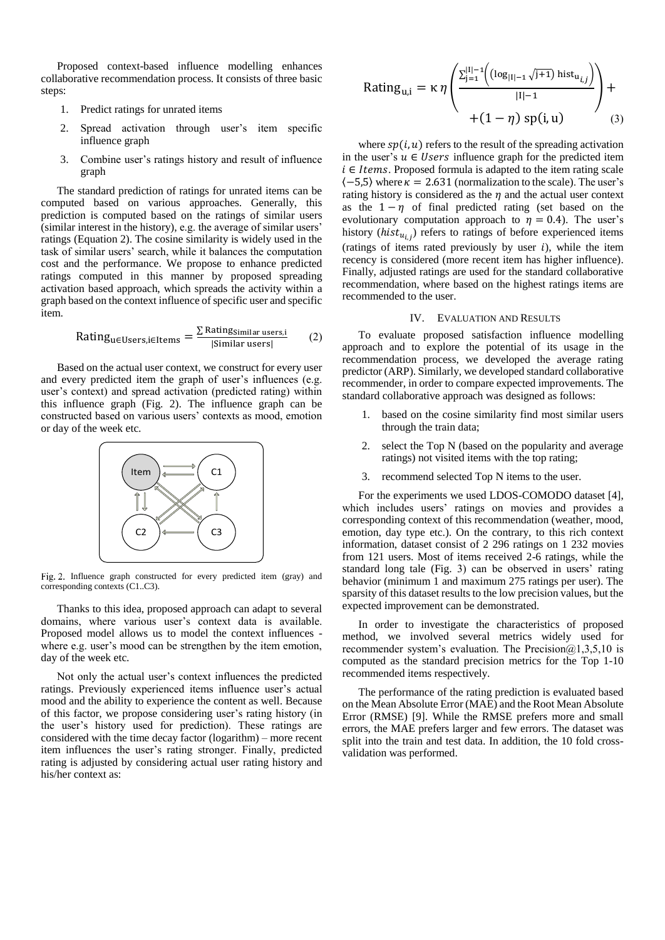Proposed context-based influence modelling enhances collaborative recommendation process. It consists of three basic steps:

- 1. Predict ratings for unrated items
- 2. Spread activation through user's item specific influence graph
- 3. Combine user's ratings history and result of influence graph

The standard prediction of ratings for unrated items can be computed based on various approaches. Generally, this prediction is computed based on the ratings of similar users (similar interest in the history), e.g. the average of similar users' ratings (Equation 2). The cosine similarity is widely used in the task of similar users' search, while it balances the computation cost and the performance. We propose to enhance predicted ratings computed in this manner by proposed spreading activation based approach, which spreads the activity within a graph based on the context influence of specific user and specific item.

$$
Rating_{u \in Users, i \in items} = \frac{\sum Rating_{similar users, i}}{|Similar users|} \tag{2}
$$

Based on the actual user context, we construct for every user and every predicted item the graph of user's influences (e.g. user's context) and spread activation (predicted rating) within this influence graph (Fig. 2). The influence graph can be constructed based on various users' contexts as mood, emotion or day of the week etc.



Fig. 2. Influence graph constructed for every predicted item (gray) and corresponding contexts (C1..C3).

Thanks to this idea, proposed approach can adapt to several domains, where various user's context data is available. Proposed model allows us to model the context influences where e.g. user's mood can be strengthen by the item emotion, day of the week etc.

Not only the actual user's context influences the predicted ratings. Previously experienced items influence user's actual mood and the ability to experience the content as well. Because of this factor, we propose considering user's rating history (in the user's history used for prediction). These ratings are considered with the time decay factor (logarithm) – more recent item influences the user's rating stronger. Finally, predicted rating is adjusted by considering actual user rating history and his/her context as:

Rating<sub>u,i</sub> = 
$$
\kappa \eta \left( \frac{\sum_{j=1}^{|I|-1} \left( (\log_{|I|-1} \sqrt{j+1}) \operatorname{hist}_{u_{i,j}} \right)}{|I|-1} \right) +
$$
  
+(1 -  $\eta$ ) sp(i, u) (3)

where  $\mathfrak{so}(i, u)$  refers to the result of the spreading activation in the user's  $u \in \text{Users}$  influence graph for the predicted item  $i \in I$ tems. Proposed formula is adapted to the item rating scale  $\langle -5.5 \rangle$  where  $\kappa = 2.631$  (normalization to the scale). The user's rating history is considered as the  $\eta$  and the actual user context as the  $1 - \eta$  of final predicted rating (set based on the evolutionary computation approach to  $\eta = 0.4$ ). The user's history  $(hist_{u_{i,j}})$  refers to ratings of before experienced items (ratings of items rated previously by user  $i$ ), while the item recency is considered (more recent item has higher influence). Finally, adjusted ratings are used for the standard collaborative recommendation, where based on the highest ratings items are recommended to the user.

## IV. EVALUATION AND RESULTS

To evaluate proposed satisfaction influence modelling approach and to explore the potential of its usage in the recommendation process, we developed the average rating predictor (ARP). Similarly, we developed standard collaborative recommender, in order to compare expected improvements. The standard collaborative approach was designed as follows:

- 1. based on the cosine similarity find most similar users through the train data;
- 2. select the Top N (based on the popularity and average ratings) not visited items with the top rating;
- 3. recommend selected Top N items to the user.

For the experiments we used LDOS-COMODO dataset [4], which includes users' ratings on movies and provides a corresponding context of this recommendation (weather, mood, emotion, day type etc.). On the contrary, to this rich context information, dataset consist of 2 296 ratings on 1 232 movies from 121 users. Most of items received 2-6 ratings, while the standard long tale (Fig. 3) can be observed in users' rating behavior (minimum 1 and maximum 275 ratings per user). The sparsity of this dataset results to the low precision values, but the expected improvement can be demonstrated.

In order to investigate the characteristics of proposed method, we involved several metrics widely used for recommender system's evaluation. The Precision $(2, 1, 3, 5, 10)$  is computed as the standard precision metrics for the Top 1-10 recommended items respectively.

The performance of the rating prediction is evaluated based on the Mean Absolute Error (MAE) and the Root Mean Absolute Error (RMSE) [9]. While the RMSE prefers more and small errors, the MAE prefers larger and few errors. The dataset was split into the train and test data. In addition, the 10 fold crossvalidation was performed.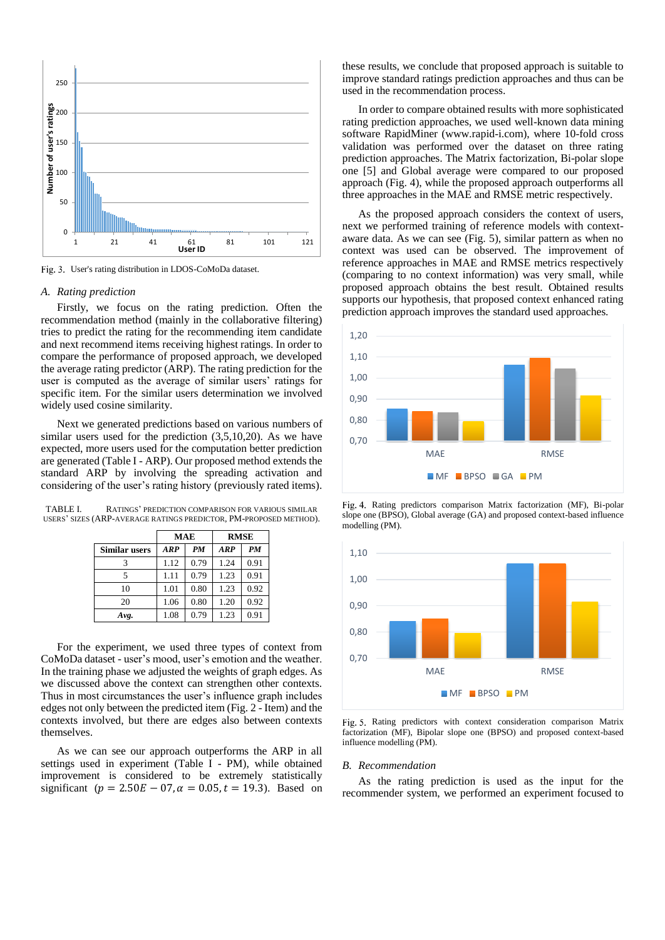

Fig. 3. User's rating distribution in LDOS-CoMoDa dataset.

### *A. Rating prediction*

Firstly, we focus on the rating prediction. Often the recommendation method (mainly in the collaborative filtering) tries to predict the rating for the recommending item candidate and next recommend items receiving highest ratings. In order to compare the performance of proposed approach, we developed the average rating predictor (ARP). The rating prediction for the user is computed as the average of similar users' ratings for specific item. For the similar users determination we involved widely used cosine similarity.

Next we generated predictions based on various numbers of similar users used for the prediction  $(3,5,10,20)$ . As we have expected, more users used for the computation better prediction are generated (Table I - ARP). Our proposed method extends the standard ARP by involving the spreading activation and considering of the user's rating history (previously rated items).

TABLE I. RATINGS' PREDICTION COMPARISON FOR VARIOUS SIMILAR USERS' SIZES (ARP-AVERAGE RATINGS PREDICTOR, PM-PROPOSED METHOD).

|                      | <b>MAE</b> |      | <b>RMSE</b> |      |  |
|----------------------|------------|------|-------------|------|--|
| <b>Similar users</b> | <b>ARP</b> | PM   | <b>ARP</b>  | PM   |  |
|                      | 1.12       | 0.79 | 1.24        | 0.91 |  |
|                      | 1.11       | 0.79 | 1.23        | 0.91 |  |
| 10                   | 1.01       | 0.80 | 1.23        | 0.92 |  |
| 20                   | 1.06       | 0.80 | 1.20        | 0.92 |  |
| Avg.                 | 1.08       | 0.79 | 1.23        | 0.91 |  |

For the experiment, we used three types of context from CoMoDa dataset - user's mood, user's emotion and the weather. In the training phase we adjusted the weights of graph edges. As we discussed above the context can strengthen other contexts. Thus in most circumstances the user's influence graph includes edges not only between the predicted item (Fig. 2 - Item) and the contexts involved, but there are edges also between contexts themselves.

As we can see our approach outperforms the ARP in all settings used in experiment (Table I - PM), while obtained improvement is considered to be extremely statistically significant ( $p = 2.50E - 07$ ,  $\alpha = 0.05$ ,  $t = 19.3$ ). Based on

these results, we conclude that proposed approach is suitable to improve standard ratings prediction approaches and thus can be used in the recommendation process.

In order to compare obtained results with more sophisticated rating prediction approaches, we used well-known data mining software RapidMiner (www.rapid-i.com), where 10-fold cross validation was performed over the dataset on three rating prediction approaches. The Matrix factorization, Bi-polar slope one [5] and Global average were compared to our proposed approach (Fig. 4), while the proposed approach outperforms all three approaches in the MAE and RMSE metric respectively.

As the proposed approach considers the context of users, next we performed training of reference models with contextaware data. As we can see (Fig. 5), similar pattern as when no context was used can be observed. The improvement of reference approaches in MAE and RMSE metrics respectively (comparing to no context information) was very small, while proposed approach obtains the best result. Obtained results supports our hypothesis, that proposed context enhanced rating prediction approach improves the standard used approaches.



Fig. 4. Rating predictors comparison Matrix factorization (MF), Bi-polar slope one (BPSO), Global average (GA) and proposed context-based influence modelling (PM).



Fig. 5. Rating predictors with context consideration comparison Matrix factorization (MF), Bipolar slope one (BPSO) and proposed context-based influence modelling (PM).

#### *B. Recommendation*

As the rating prediction is used as the input for the recommender system, we performed an experiment focused to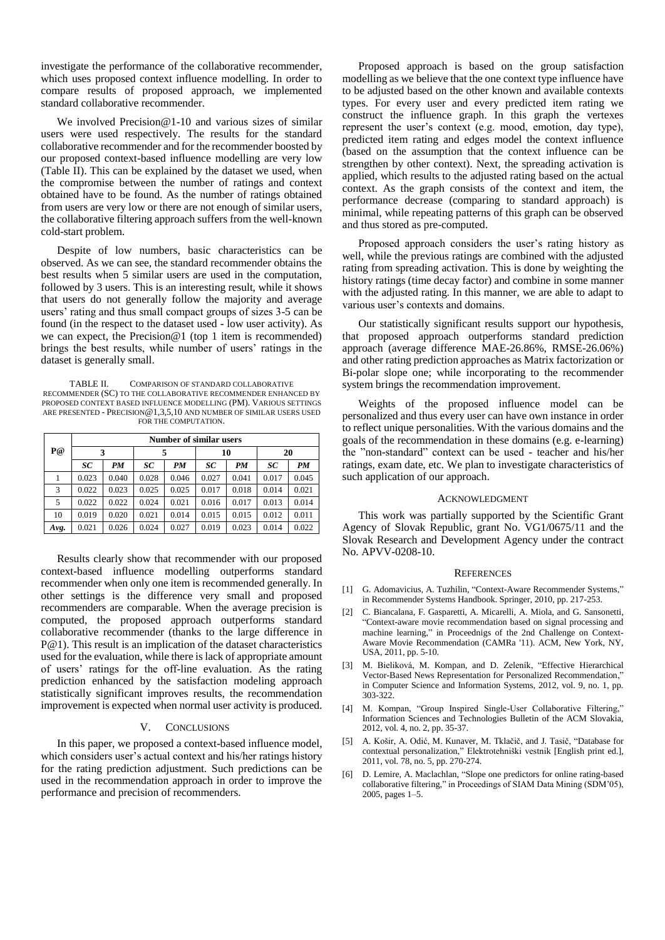investigate the performance of the collaborative recommender, which uses proposed context influence modelling. In order to compare results of proposed approach, we implemented standard collaborative recommender.

We involved Precision@1-10 and various sizes of similar users were used respectively. The results for the standard collaborative recommender and for the recommender boosted by our proposed context-based influence modelling are very low (Table II). This can be explained by the dataset we used, when the compromise between the number of ratings and context obtained have to be found. As the number of ratings obtained from users are very low or there are not enough of similar users, the collaborative filtering approach suffers from the well-known cold-start problem.

Despite of low numbers, basic characteristics can be observed. As we can see, the standard recommender obtains the best results when 5 similar users are used in the computation, followed by 3 users. This is an interesting result, while it shows that users do not generally follow the majority and average users' rating and thus small compact groups of sizes 3-5 can be found (in the respect to the dataset used - low user activity). As we can expect, the Precision@1 (top 1 item is recommended) brings the best results, while number of users' ratings in the dataset is generally small.

TABLE II. COMPARISON OF STANDARD COLLABORATIVE RECOMMENDER (SC) TO THE COLLABORATIVE RECOMMENDER ENHANCED BY PROPOSED CONTEXT BASED INFLUENCE MODELLING (PM). VARIOUS SETTINGS ARE PRESENTED - PRECISION@1,3,5,10 AND NUMBER OF SIMILAR USERS USED FOR THE COMPUTATION.

|      | <b>Number of similar users</b> |       |       |       |       |       |           |           |  |  |
|------|--------------------------------|-------|-------|-------|-------|-------|-----------|-----------|--|--|
| P@   | 3                              |       |       |       | 10    |       | 20        |           |  |  |
|      | SC                             | PM    | SC    | PM    | SC    | PM    | <b>SC</b> | <b>PM</b> |  |  |
| 1    | 0.023                          | 0.040 | 0.028 | 0.046 | 0.027 | 0.041 | 0.017     | 0.045     |  |  |
| 3    | 0.022                          | 0.023 | 0.025 | 0.025 | 0.017 | 0.018 | 0.014     | 0.021     |  |  |
| 5    | 0.022                          | 0.022 | 0.024 | 0.021 | 0.016 | 0.017 | 0.013     | 0.014     |  |  |
| 10   | 0.019                          | 0.020 | 0.021 | 0.014 | 0.015 | 0.015 | 0.012     | 0.011     |  |  |
| Avg. | 0.021                          | 0.026 | 0.024 | 0.027 | 0.019 | 0.023 | 0.014     | 0.022     |  |  |

Results clearly show that recommender with our proposed context-based influence modelling outperforms standard recommender when only one item is recommended generally. In other settings is the difference very small and proposed recommenders are comparable. When the average precision is computed, the proposed approach outperforms standard collaborative recommender (thanks to the large difference in P@1). This result is an implication of the dataset characteristics used for the evaluation, while there is lack of appropriate amount of users' ratings for the off-line evaluation. As the rating prediction enhanced by the satisfaction modeling approach statistically significant improves results, the recommendation improvement is expected when normal user activity is produced.

## V. CONCLUSIONS

In this paper, we proposed a context-based influence model, which considers user's actual context and his/her ratings history for the rating prediction adjustment. Such predictions can be used in the recommendation approach in order to improve the performance and precision of recommenders.

Proposed approach is based on the group satisfaction modelling as we believe that the one context type influence have to be adjusted based on the other known and available contexts types. For every user and every predicted item rating we construct the influence graph. In this graph the vertexes represent the user's context (e.g. mood, emotion, day type), predicted item rating and edges model the context influence (based on the assumption that the context influence can be strengthen by other context). Next, the spreading activation is applied, which results to the adjusted rating based on the actual context. As the graph consists of the context and item, the performance decrease (comparing to standard approach) is minimal, while repeating patterns of this graph can be observed and thus stored as pre-computed.

Proposed approach considers the user's rating history as well, while the previous ratings are combined with the adjusted rating from spreading activation. This is done by weighting the history ratings (time decay factor) and combine in some manner with the adjusted rating. In this manner, we are able to adapt to various user's contexts and domains.

Our statistically significant results support our hypothesis, that proposed approach outperforms standard prediction approach (average difference MAE-26.86%, RMSE-26.06%) and other rating prediction approaches as Matrix factorization or Bi-polar slope one; while incorporating to the recommender system brings the recommendation improvement.

Weights of the proposed influence model can be personalized and thus every user can have own instance in order to reflect unique personalities. With the various domains and the goals of the recommendation in these domains (e.g. e-learning) the "non-standard" context can be used - teacher and his/her ratings, exam date, etc. We plan to investigate characteristics of such application of our approach.

### ACKNOWLEDGMENT

This work was partially supported by the Scientific Grant Agency of Slovak Republic, grant No. VG1/0675/11 and the Slovak Research and Development Agency under the contract No. APVV-0208-10.

#### **REFERENCES**

- [1] G. Adomavicius, A. Tuzhilin, "Context-Aware Recommender Systems," in Recommender Systems Handbook. Springer, 2010, pp. 217-253.
- [2] C. Biancalana, F. Gasparetti, A. Micarelli, A. Miola, and G. Sansonetti, "Context-aware movie recommendation based on signal processing and machine learning," in Proceednigs of the 2nd Challenge on Context-Aware Movie Recommendation (CAMRa '11). ACM, New York, NY, USA, 2011, pp. 5-10.
- [3] M. Bieliková, M. Kompan, and D. Zeleník, "Effective Hierarchical Vector-Based News Representation for Personalized Recommendation," in Computer Science and Information Systems, 2012, vol. 9, no. 1, pp. 303-322.
- <span id="page-4-0"></span>[4] M. Kompan, "Group Inspired Single-User Collaborative Filtering," Information Sciences and Technologies Bulletin of the ACM Slovakia, 2012, vol. 4, no. 2, pp. 35-37.
- [5] A. Košir, A. Odić, M. Kunaver, M. Tklačič, and J. Tasič, "Database for contextual personalization," Elektrotehniški vestnik [English print ed.], 2011, vol. 78, no. 5, pp. 270-274.
- [6] D. Lemire, A. Maclachlan, "Slope one predictors for online rating-based collaborative filtering," in Proceedings of SIAM Data Mining (SDM'05), 2005, pages 1–5.